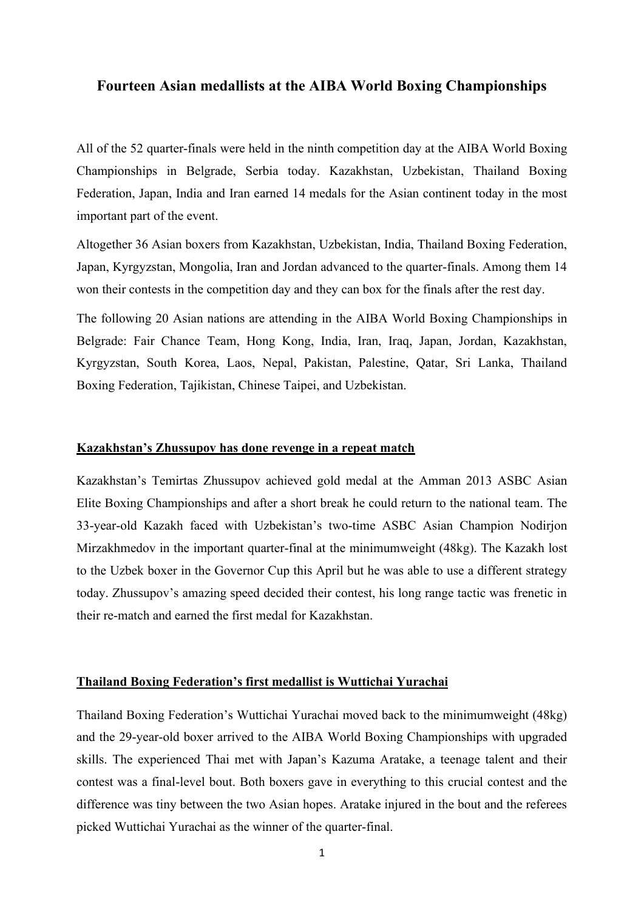## **Fourteen Asian medallists at the AIBA World Boxing Championships**

All of the 52 quarter-finals were held in the ninth competition day at the AIBA World Boxing Championships in Belgrade, Serbia today. Kazakhstan, Uzbekistan, Thailand Boxing Federation, Japan, India and Iran earned 14 medals for the Asian continent today in the most important part of the event.

Altogether 36 Asian boxers from Kazakhstan, Uzbekistan, India, Thailand Boxing Federation, Japan, Kyrgyzstan, Mongolia, Iran and Jordan advanced to the quarter-finals. Among them 14 won their contests in the competition day and they can box for the finals after the rest day.

The following 20 Asian nations are attending in the AIBA World Boxing Championships in Belgrade: Fair Chance Team, Hong Kong, India, Iran, Iraq, Japan, Jordan, Kazakhstan, Kyrgyzstan, South Korea, Laos, Nepal, Pakistan, Palestine, Qatar, Sri Lanka, Thailand Boxing Federation, Tajikistan, Chinese Taipei, and Uzbekistan.

## **Kazakhstan's Zhussupov has done revenge in a repeat match**

Kazakhstan's Temirtas Zhussupov achieved gold medal at the Amman 2013 ASBC Asian Elite Boxing Championships and after a short break he could return to the national team. The 33-year-old Kazakh faced with Uzbekistan's two-time ASBC Asian Champion Nodirjon Mirzakhmedov in the important quarter-final at the minimumweight (48kg). The Kazakh lost to the Uzbek boxer in the Governor Cup this April but he was able to use a different strategy today. Zhussupov's amazing speed decided their contest, his long range tactic was frenetic in their re-match and earned the first medal for Kazakhstan.

# **Thailand Boxing Federation's first medallist is Wuttichai Yurachai**

Thailand Boxing Federation's Wuttichai Yurachai moved back to the minimumweight (48kg) and the 29-year-old boxer arrived to the AIBA World Boxing Championships with upgraded skills. The experienced Thai met with Japan's Kazuma Aratake, a teenage talent and their contest was a final-level bout. Both boxers gave in everything to this crucial contest and the difference was tiny between the two Asian hopes. Aratake injured in the bout and the referees picked Wuttichai Yurachai as the winner of the quarter-final.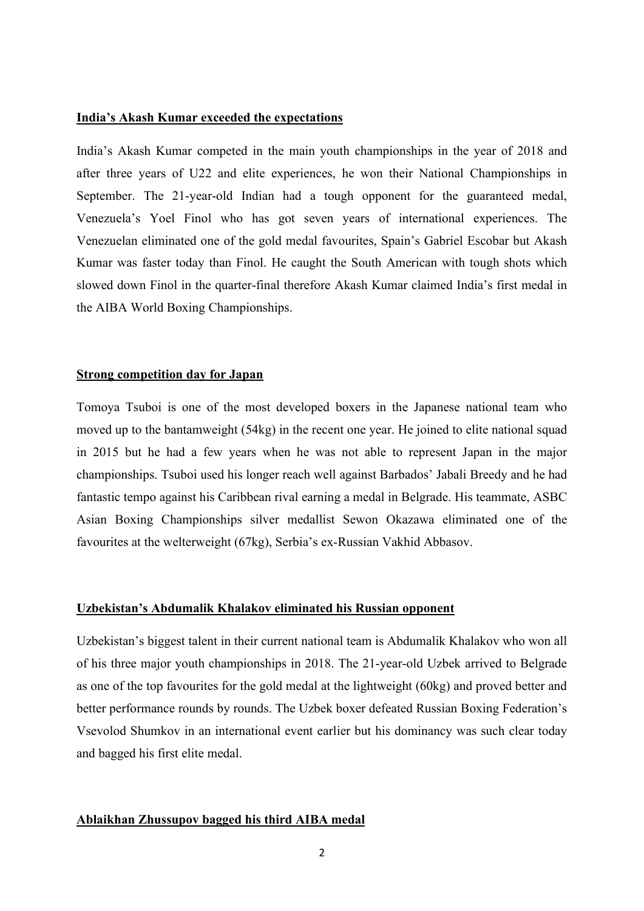## **India's Akash Kumar exceeded the expectations**

India's Akash Kumar competed in the main youth championships in the year of 2018 and after three years of U22 and elite experiences, he won their National Championships in September. The 21-year-old Indian had a tough opponent for the guaranteed medal, Venezuela's Yoel Finol who has got seven years of international experiences. The Venezuelan eliminated one of the gold medal favourites, Spain's Gabriel Escobar but Akash Kumar was faster today than Finol. He caught the South American with tough shots which slowed down Finol in the quarter-final therefore Akash Kumar claimed India's first medal in the AIBA World Boxing Championships.

# **Strong competition day for Japan**

Tomoya Tsuboi is one of the most developed boxers in the Japanese national team who moved up to the bantamweight (54kg) in the recent one year. He joined to elite national squad in 2015 but he had a few years when he was not able to represent Japan in the major championships. Tsuboi used his longer reach well against Barbados' Jabali Breedy and he had fantastic tempo against his Caribbean rival earning a medal in Belgrade. His teammate, ASBC Asian Boxing Championships silver medallist Sewon Okazawa eliminated one of the favourites at the welterweight (67kg), Serbia's ex-Russian Vakhid Abbasov.

### **Uzbekistan's Abdumalik Khalakov eliminated his Russian opponent**

Uzbekistan's biggest talent in their current national team is Abdumalik Khalakov who won all of his three major youth championships in 2018. The 21-year-old Uzbek arrived to Belgrade as one of the top favourites for the gold medal at the lightweight (60kg) and proved better and better performance rounds by rounds. The Uzbek boxer defeated Russian Boxing Federation's Vsevolod Shumkov in an international event earlier but his dominancy was such clear today and bagged his first elite medal.

#### **Ablaikhan Zhussupov bagged his third AIBA medal**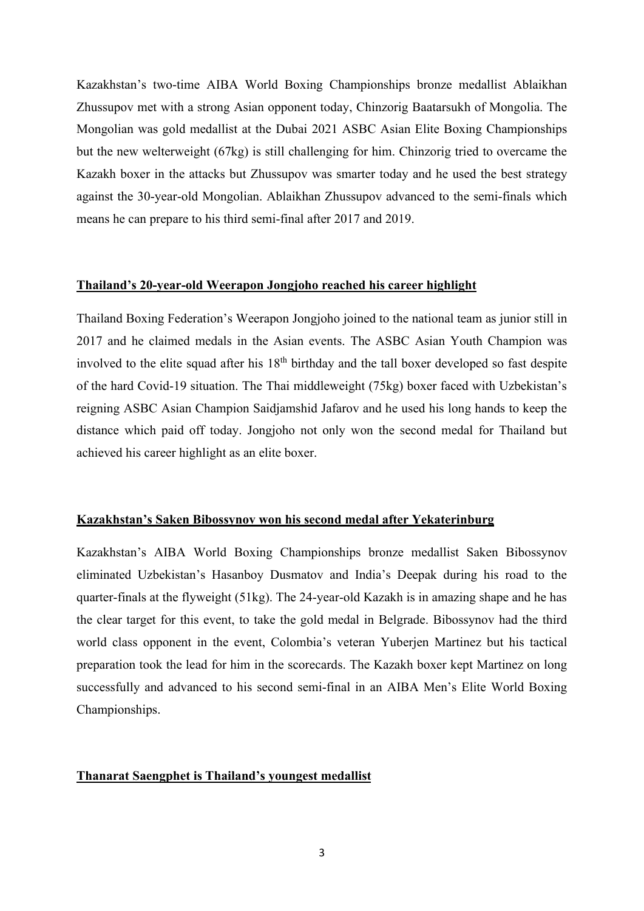Kazakhstan's two-time AIBA World Boxing Championships bronze medallist Ablaikhan Zhussupov met with a strong Asian opponent today, Chinzorig Baatarsukh of Mongolia. The Mongolian was gold medallist at the Dubai 2021 ASBC Asian Elite Boxing Championships but the new welterweight (67kg) is still challenging for him. Chinzorig tried to overcame the Kazakh boxer in the attacks but Zhussupov was smarter today and he used the best strategy against the 30-year-old Mongolian. Ablaikhan Zhussupov advanced to the semi-finals which means he can prepare to his third semi-final after 2017 and 2019.

## **Thailand's 20-year-old Weerapon Jongjoho reached his career highlight**

Thailand Boxing Federation's Weerapon Jongjoho joined to the national team as junior still in 2017 and he claimed medals in the Asian events. The ASBC Asian Youth Champion was involved to the elite squad after his  $18<sup>th</sup>$  birthday and the tall boxer developed so fast despite of the hard Covid-19 situation. The Thai middleweight (75kg) boxer faced with Uzbekistan's reigning ASBC Asian Champion Saidjamshid Jafarov and he used his long hands to keep the distance which paid off today. Jongjoho not only won the second medal for Thailand but achieved his career highlight as an elite boxer.

## **Kazakhstan's Saken Bibossynov won his second medal after Yekaterinburg**

Kazakhstan's AIBA World Boxing Championships bronze medallist Saken Bibossynov eliminated Uzbekistan's Hasanboy Dusmatov and India's Deepak during his road to the quarter-finals at the flyweight (51kg). The 24-year-old Kazakh is in amazing shape and he has the clear target for this event, to take the gold medal in Belgrade. Bibossynov had the third world class opponent in the event, Colombia's veteran Yuberjen Martinez but his tactical preparation took the lead for him in the scorecards. The Kazakh boxer kept Martinez on long successfully and advanced to his second semi-final in an AIBA Men's Elite World Boxing Championships.

# **Thanarat Saengphet is Thailand's youngest medallist**